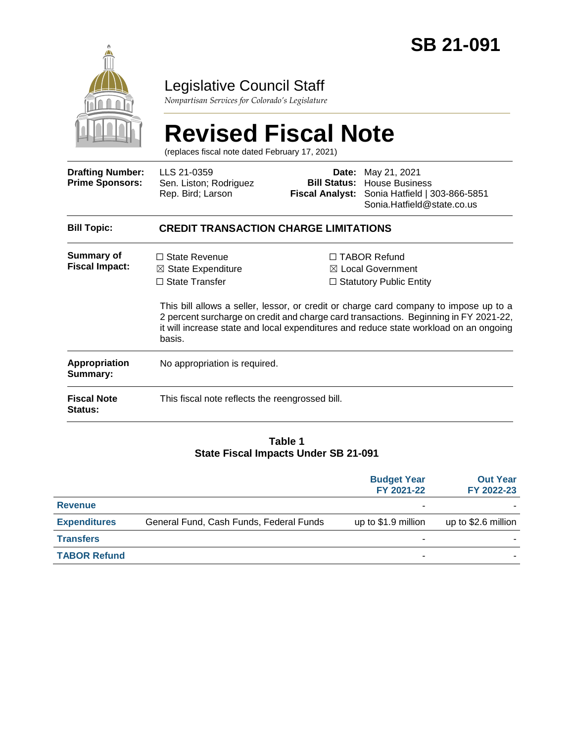

## Legislative Council Staff

*Nonpartisan Services for Colorado's Legislature*

# **Revised Fiscal Note**

(replaces fiscal note dated February 17, 2021)

| <b>Drafting Number:</b><br><b>Prime Sponsors:</b> | LLS 21-0359<br>Sen. Liston; Rodriguez<br>Rep. Bird; Larson                               | <b>Fiscal Analyst:</b> | Date: May 21, 2021<br><b>Bill Status: House Business</b><br>Sonia Hatfield   303-866-5851<br>Sonia.Hatfield@state.co.us                                                                                                                                                                                                                                         |  |  |
|---------------------------------------------------|------------------------------------------------------------------------------------------|------------------------|-----------------------------------------------------------------------------------------------------------------------------------------------------------------------------------------------------------------------------------------------------------------------------------------------------------------------------------------------------------------|--|--|
| <b>Bill Topic:</b>                                | <b>CREDIT TRANSACTION CHARGE LIMITATIONS</b>                                             |                        |                                                                                                                                                                                                                                                                                                                                                                 |  |  |
| <b>Summary of</b><br><b>Fiscal Impact:</b>        | $\Box$ State Revenue<br>$\boxtimes$ State Expenditure<br>$\Box$ State Transfer<br>basis. |                        | $\Box$ TABOR Refund<br>$\boxtimes$ Local Government<br>$\Box$ Statutory Public Entity<br>This bill allows a seller, lessor, or credit or charge card company to impose up to a<br>2 percent surcharge on credit and charge card transactions. Beginning in FY 2021-22,<br>it will increase state and local expenditures and reduce state workload on an ongoing |  |  |
| <b>Appropriation</b><br>Summary:                  | No appropriation is required.                                                            |                        |                                                                                                                                                                                                                                                                                                                                                                 |  |  |
| <b>Fiscal Note</b><br>Status:                     | This fiscal note reflects the reengrossed bill.                                          |                        |                                                                                                                                                                                                                                                                                                                                                                 |  |  |

#### **Table 1 State Fiscal Impacts Under SB 21-091**

|                     |                                         | <b>Budget Year</b><br>FY 2021-22 | <b>Out Year</b><br>FY 2022-23 |
|---------------------|-----------------------------------------|----------------------------------|-------------------------------|
| <b>Revenue</b>      |                                         |                                  |                               |
| <b>Expenditures</b> | General Fund, Cash Funds, Federal Funds | up to \$1.9 million              | up to \$2.6 million           |
| <b>Transfers</b>    |                                         | ۰                                |                               |
| <b>TABOR Refund</b> |                                         | ۰                                |                               |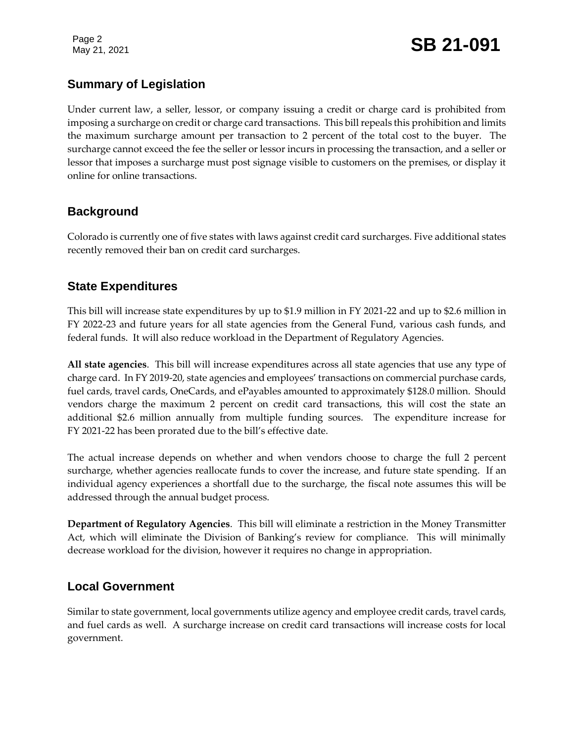Page 2

### **Summary of Legislation**

Under current law, a seller, lessor, or company issuing a credit or charge card is prohibited from imposing a surcharge on credit or charge card transactions. This bill repeals this prohibition and limits the maximum surcharge amount per transaction to 2 percent of the total cost to the buyer. The surcharge cannot exceed the fee the seller or lessor incurs in processing the transaction, and a seller or lessor that imposes a surcharge must post signage visible to customers on the premises, or display it online for online transactions.

#### **Background**

Colorado is currently one of five states with laws against credit card surcharges. Five additional states recently removed their ban on credit card surcharges.

#### **State Expenditures**

This bill will increase state expenditures by up to \$1.9 million in FY 2021-22 and up to \$2.6 million in FY 2022-23 and future years for all state agencies from the General Fund, various cash funds, and federal funds. It will also reduce workload in the Department of Regulatory Agencies.

**All state agencies**. This bill will increase expenditures across all state agencies that use any type of charge card. In FY 2019-20, state agencies and employees' transactions on commercial purchase cards, fuel cards, travel cards, OneCards, and ePayables amounted to approximately \$128.0 million. Should vendors charge the maximum 2 percent on credit card transactions, this will cost the state an additional \$2.6 million annually from multiple funding sources. The expenditure increase for FY 2021-22 has been prorated due to the bill's effective date.

The actual increase depends on whether and when vendors choose to charge the full 2 percent surcharge, whether agencies reallocate funds to cover the increase, and future state spending. If an individual agency experiences a shortfall due to the surcharge, the fiscal note assumes this will be addressed through the annual budget process.

**Department of Regulatory Agencies**. This bill will eliminate a restriction in the Money Transmitter Act, which will eliminate the Division of Banking's review for compliance. This will minimally decrease workload for the division, however it requires no change in appropriation.

#### **Local Government**

Similar to state government, local governments utilize agency and employee credit cards, travel cards, and fuel cards as well. A surcharge increase on credit card transactions will increase costs for local government.